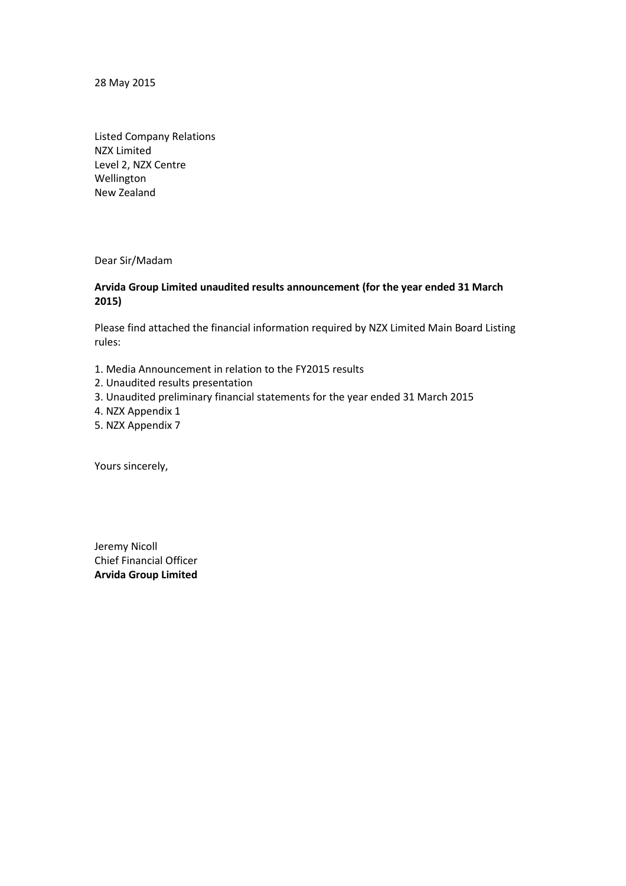28 May 2015

Listed Company Relations NZX Limited Level 2, NZX Centre Wellington New Zealand

Dear Sir/Madam

# **Arvida Group Limited unaudited results announcement (for the year ended 31 March 2015)**

Please find attached the financial information required by NZX Limited Main Board Listing rules:

- 1. Media Announcement in relation to the FY2015 results
- 2. Unaudited results presentation
- 3. Unaudited preliminary financial statements for the year ended 31 March 2015
- 4. NZX Appendix 1
- 5. NZX Appendix 7

Yours sincerely,

Jeremy Nicoll Chief Financial Officer **Arvida Group Limited**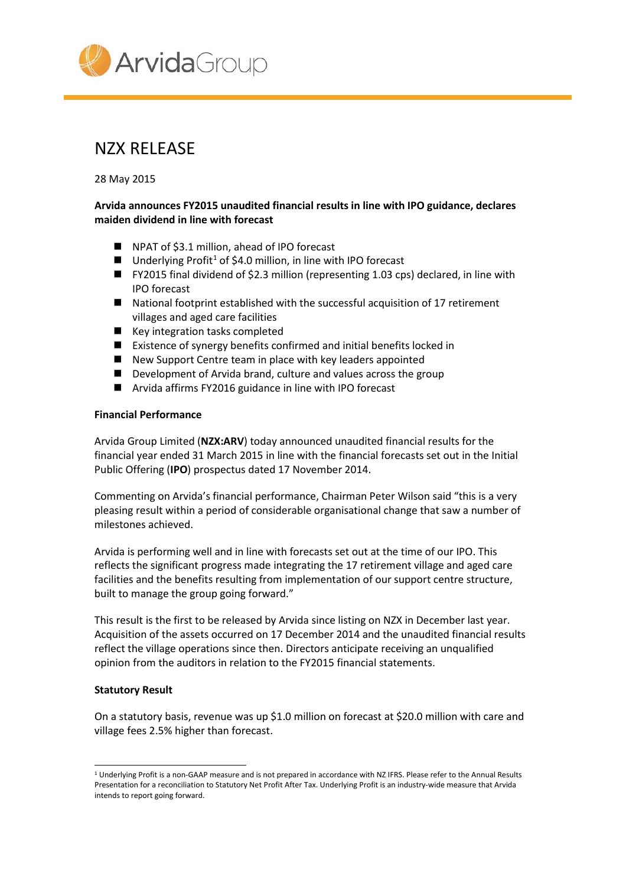

# NZX RELEASE

28 May 2015

# **Arvida announces FY2015 unaudited financial results in line with IPO guidance, declares maiden dividend in line with forecast**

- NPAT of \$3.1 million, ahead of IPO forecast
- **Underlying Profit<sup>[1](#page-1-0)</sup> of \$4.0 million, in line with IPO forecast**
- FY2015 final dividend of \$2.3 million (representing 1.03 cps) declared, in line with IPO forecast
- National footprint established with the successful acquisition of 17 retirement villages and aged care facilities
- Key integration tasks completed
- Existence of synergy benefits confirmed and initial benefits locked in
- New Support Centre team in place with key leaders appointed
- Development of Arvida brand, culture and values across the group
- Arvida affirms FY2016 guidance in line with IPO forecast

## **Financial Performance**

Arvida Group Limited (**NZX:ARV**) today announced unaudited financial results for the financial year ended 31 March 2015 in line with the financial forecasts set out in the Initial Public Offering (**IPO**) prospectus dated 17 November 2014.

Commenting on Arvida's financial performance, Chairman Peter Wilson said "this is a very pleasing result within a period of considerable organisational change that saw a number of milestones achieved.

Arvida is performing well and in line with forecasts set out at the time of our IPO. This reflects the significant progress made integrating the 17 retirement village and aged care facilities and the benefits resulting from implementation of our support centre structure, built to manage the group going forward."

This result is the first to be released by Arvida since listing on NZX in December last year. Acquisition of the assets occurred on 17 December 2014 and the unaudited financial results reflect the village operations since then. Directors anticipate receiving an unqualified opinion from the auditors in relation to the FY2015 financial statements.

## **Statutory Result**

On a statutory basis, revenue was up \$1.0 million on forecast at \$20.0 million with care and village fees 2.5% higher than forecast.

<span id="page-1-0"></span><sup>1</sup> Underlying Profit is a non-GAAP measure and is not prepared in accordance with NZ IFRS. Please refer to the Annual Results Presentation for a reconciliation to Statutory Net Profit After Tax. Underlying Profit is an industry-wide measure that Arvida intends to report going forward.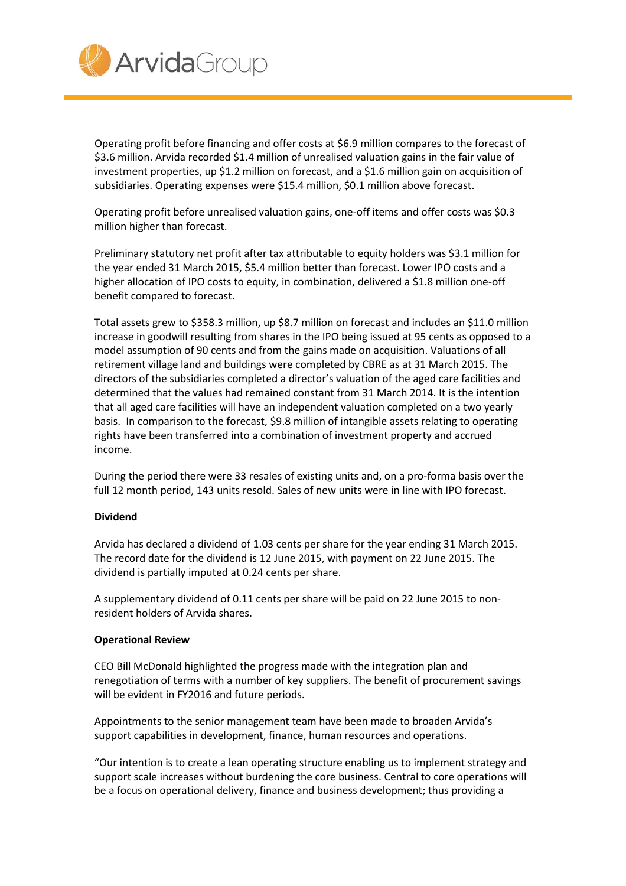

Operating profit before financing and offer costs at \$6.9 million compares to the forecast of \$3.6 million. Arvida recorded \$1.4 million of unrealised valuation gains in the fair value of investment properties, up \$1.2 million on forecast, and a \$1.6 million gain on acquisition of subsidiaries. Operating expenses were \$15.4 million, \$0.1 million above forecast.

Operating profit before unrealised valuation gains, one-off items and offer costs was \$0.3 million higher than forecast.

Preliminary statutory net profit after tax attributable to equity holders was \$3.1 million for the year ended 31 March 2015, \$5.4 million better than forecast. Lower IPO costs and a higher allocation of IPO costs to equity, in combination, delivered a \$1.8 million one-off benefit compared to forecast.

Total assets grew to \$358.3 million, up \$8.7 million on forecast and includes an \$11.0 million increase in goodwill resulting from shares in the IPO being issued at 95 cents as opposed to a model assumption of 90 cents and from the gains made on acquisition. Valuations of all retirement village land and buildings were completed by CBRE as at 31 March 2015. The directors of the subsidiaries completed a director's valuation of the aged care facilities and determined that the values had remained constant from 31 March 2014. It is the intention that all aged care facilities will have an independent valuation completed on a two yearly basis. In comparison to the forecast, \$9.8 million of intangible assets relating to operating rights have been transferred into a combination of investment property and accrued income.

During the period there were 33 resales of existing units and, on a pro-forma basis over the full 12 month period, 143 units resold. Sales of new units were in line with IPO forecast.

## **Dividend**

Arvida has declared a dividend of 1.03 cents per share for the year ending 31 March 2015. The record date for the dividend is 12 June 2015, with payment on 22 June 2015. The dividend is partially imputed at 0.24 cents per share.

A supplementary dividend of 0.11 cents per share will be paid on 22 June 2015 to nonresident holders of Arvida shares.

## **Operational Review**

CEO Bill McDonald highlighted the progress made with the integration plan and renegotiation of terms with a number of key suppliers. The benefit of procurement savings will be evident in FY2016 and future periods.

Appointments to the senior management team have been made to broaden Arvida's support capabilities in development, finance, human resources and operations.

"Our intention is to create a lean operating structure enabling us to implement strategy and support scale increases without burdening the core business. Central to core operations will be a focus on operational delivery, finance and business development; thus providing a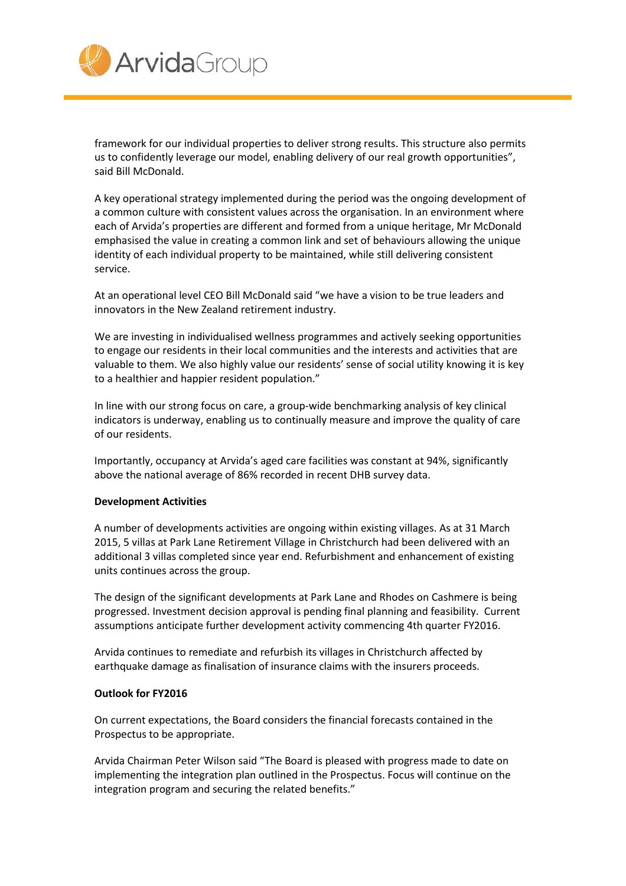

framework for our individual properties to deliver strong results. This structure also permits us to confidently leverage our model, enabling delivery of our real growth opportunities", said Bill McDonald.

A key operational strategy implemented during the period was the ongoing development of a common culture with consistent values across the organisation. In an environment where each of Arvida's properties are different and formed from a unique heritage, Mr McDonald emphasised the value in creating a common link and set of behaviours allowing the unique identity of each individual property to be maintained, while still delivering consistent service.

At an operational level CEO Bill McDonald said "we have a vision to be true leaders and innovators in the New Zealand retirement industry.

We are investing in individualised wellness programmes and actively seeking opportunities to engage our residents in their local communities and the interests and activities that are valuable to them. We also highly value our residents' sense of social utility knowing it is key to a healthier and happier resident population."

In line with our strong focus on care, a group-wide benchmarking analysis of key clinical indicators is underway, enabling us to continually measure and improve the quality of care of our residents.

Importantly, occupancy at Arvida's aged care facilities was constant at 94%, significantly above the national average of 86% recorded in recent DHB survey data.

## **Development Activities**

A number of developments activities are ongoing within existing villages. As at 31 March 2015, 5 villas at Park Lane Retirement Village in Christchurch had been delivered with an additional 3 villas completed since year end. Refurbishment and enhancement of existing units continues across the group.

The design of the significant developments at Park Lane and Rhodes on Cashmere is being progressed. Investment decision approval is pending final planning and feasibility. Current assumptions anticipate further development activity commencing 4th quarter FY2016.

Arvida continues to remediate and refurbish its villages in Christchurch affected by earthquake damage as finalisation of insurance claims with the insurers proceeds.

## **Outlook for FY2016**

On current expectations, the Board considers the financial forecasts contained in the Prospectus to be appropriate.

Arvida Chairman Peter Wilson said "The Board is pleased with progress made to date on implementing the integration plan outlined in the Prospectus. Focus will continue on the integration program and securing the related benefits."